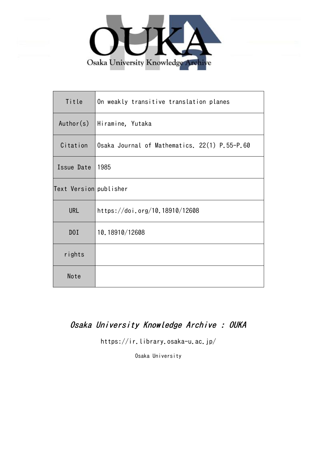

| Title                  | On weakly transitive translation planes       |
|------------------------|-----------------------------------------------|
| Author(s)              | Hiramine, Yutaka                              |
| Citation               | Osaka Journal of Mathematics. 22(1) P.55-P.60 |
| Issue Date             | 1985                                          |
| Text Version publisher |                                               |
| <b>URL</b>             | https://doi.org/10.18910/12608                |
| D0I                    | 10.18910/12608                                |
| rights                 |                                               |
| Note                   |                                               |

# Osaka University Knowledge Archive : OUKA

https://ir.library.osaka-u.ac.jp/

Osaka University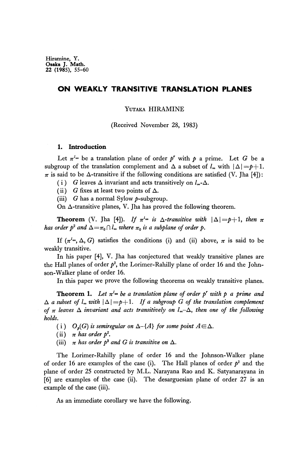Hiramine, Y. **Osaka J.** Math. 22 (1985), 55-60

## **ON WEAKLY TRANSITIVE TRANSLATION PLANES**

#### YUTAKA HIRAMINE

(Received November 28, 1983)

### **1. Introduction**

Let  $\pi^{l_{\infty}}$  be a translation plane of order  $p^r$  with  $p$  a prime. Let  $G$  be a subgroup of the translation complement and  $\Delta$  a subset of  $l_{\infty}$  with  $|\Delta| = p+1$ .  $\pi$  is said to be  $\Delta$ -transitive if the following conditions are satisfied (V. Jha [4]):

(i) G leaves  $\Delta$  invariant and acts transitively on  $l_{\infty}$ - $\Delta$ .

- (ii) G fixes at least two points of  $\Delta$ .
- (iii) G has a normal Sylow  $p$ -subgroup.

On Δ-transitive planes, V. Jha has proved the following theorem.

**Theorem** (V. Jha [4]). If  $\pi^{l_{\infty}}$  is  $\Delta$ -transitive with  $|\Delta|=p+1$ , then  $\pi$ *has order*  $p^2$  *and*  $\Delta = \pi_0 \cap l_{\infty}$  where  $\pi_0$  is a subplane of order  $p$ .

If  $(\pi^{l_{\infty}}, \Delta, G)$  satisfies the conditions (i) and (ii) above,  $\pi$  is said to be weakly transitive.

In his paper [4], V. Jha has conjectured that weakly transitive planes are the Hall planes of order  $p^2$ , the Lorimer-Rahilly plane of order 16 and the Johnson-Walker plane of order 16.

In this paper we prove the following theorems on weakly transitive planes.

**Theorem 1.** Let  $\pi^{l_{\infty}}$  be a translation plane of order p' with p a prime and  $\Delta$  a subset of  $l_{\infty}$  with  $|\Delta| = p+1$ . If a subgroup G of the translation complement *of*  $\pi$  leaves  $\Delta$  *invariant and acts transitively on*  $l_{\infty} - \Delta$ *, then one of the following holds.*

- (i)  $O_p(G)$  *is semiregular on*  $\Delta \{A\}$  *for some point A*  $\in \Delta$ .
- (ii)  $\pi$  has order  $p^2$ .
- (iii)  $\pi$  has order  $p^3$  and G is transitive on  $\Delta$ .

The Lorimer-Rahilly plane of order 16 and the Johnson-Walker plane of order 16 are examples of the case (i). The Hall planes of order  $p^2$  and the plane of order 25 constructed by M.L. Narayana Rao and K. Satyanarayana in [6] are examples of the case (ii). The desarguesian plane of order 27 is an example of the case (iii).

As an immediate corollary we have the following.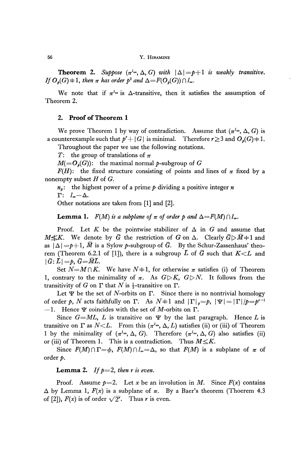**Theorem 2.** Suppose  $(\pi^{l_{\infty}}, \Delta, G)$  with  $|\Delta| = p+1$  is weakly transitive. *If*  $O_p(G)$   $\neq$  1, then  $\pi$  has order  $p^2$  and  $\Delta = F(O_p(G)) \cap l_\infty$ .

We note that if  $\pi^{l_{\infty}}$  is  $\Delta$ -transitive, then it satisfies the assumption of Theorem 2.

#### **2. Proof of Theorem 1**

We prove Theorem 1 by way of contradiction. Assume that  $(\pi^{l_{\infty}}, \Delta, G)$  is a counterexample such that  $p^r + |G|$  is minimal. Therefore  $r \ge 3$  and  $O_p(G) \ne 1$ .

Throughout the paper we use the following notations.

T: the group of translations of *π*

 $M(=\!\!\!\mathcal{O}_{p}(G))$ : the maximal normal  $p$ -subgroup of  $G$ 

*F(H)*: the fixed structure consisting of points and lines of  $\pi$  fixed by a nonempty subset *H* of G.

*np :* the highest power of a prime *p* dividing a positive integer *n*

 $\Gamma: \quad l_{\infty} - \Delta.$ 

Other notations are taken from [1] and [2].

**Lemma 1.**  $F(M)$  is a subplane of  $\pi$  of order p and  $\Delta = F(M) \cap l_{\infty}$ .

Proof. Let  $K$  be the pointwise stabilizer of  $\Delta$  in  $G$  and assume that  $M \leq K$ . We denote by  $\bar{G}$  the restriction of G on  $\Delta$ . Clearly  $\bar{G} \triangleright \bar{M} \neq 1$  and as  $|\Delta| = p+1$ ,  $\overline{M}$  is a Sylow p-subgroup of  $\overline{G}$ . By the Schur-Zassenhaus' theorem (Theorem 6.2.1 of [1]), there is a subgroup  $\overline{L}$  of  $\overline{G}$  such that  $K \leq L$  and  $|\bar{G}:L| = p$ ,  $\bar{G} = \overline{M}L$ .

Set  $N=M\cap K$ . We have  $N+1$ , for otherwise  $\pi$  satisfies (i) of Theorem 1, contrary to the minimality of  $\pi$ . As  $G\triangleright K$ ,  $G\triangleright N$ . It follows from the transitivity of G on  $\Gamma$  that N is  $\frac{1}{2}$ -transitive on  $\Gamma$ .

Let  $\Psi$  be the set of *N*-orbits on  $\Gamma$ . Since there is no nontrivial homology of order p, N acts faithfully on  $\Gamma$ . As  $N=1$  and  $|\Gamma|_p=p$ ,  $|\Psi|=|\Gamma|_p=p^{r-1}$  $-1$ . Hence  $\Psi$  coincides with the set of *M*-orbits on  $\Gamma$ .

Since  $G=ML$ , *L* is transitive on  $\Psi$  by the last paragraph. Hence *L* is transitive on  $\Gamma$  as  $N \leq L$ . From this  $(\pi^{l_{\infty}}, \Delta, L)$  satisfies (ii) or (iii) of Theorem 1 by the minimality of  $(\pi^{l_{\infty}}, \Delta, G)$ . Therefore  $(\pi^{l_{\infty}}, \Delta, G)$  also satisfies (ii) or (iii) of Theorem 1. This is a contradiction. Thus  $M \leq K$ .

Since  $F(M) \cap \Gamma = \phi$ ,  $F(M) \cap l_{\infty} = \Delta$ , so that  $F(M)$  is a subplane of  $\pi$  of order *p.*

### **Lemma 2.** If  $p=2$ , then r is even.

Proof. Assume  $p=2$ . Let x be an involution in M. Since  $F(x)$  contains  $Δ$  by Lemma 1,  $F(x)$  is a subplane of  $π$ . By a Baer's theorem (Thoerem 4.3) of [2]),  $F(x)$  is of order  $\sqrt{2^r}$ . Thus *r* is even.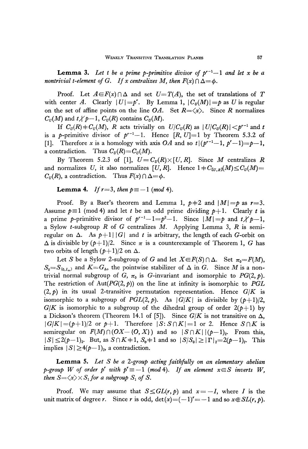**Lemma 3.** Let t be a prime p-primitive divisor of  $p^{r-1}-1$  and let x be a *nontrivial t-element of G. If x centralizes M, then*  $F(x) \cap \Delta = \phi$ .

Proof. Let  $A \in F(x) \cap \Delta$  and set  $U=T(A)$ , the set of translations of T with center *A*. Clearly  $|U| = p^r$ . By Lemma 1,  $|C_v(M)| = p$  as U is regular on the set of affine points on the line *OA*. Set  $R = \langle x \rangle$ . Since *R* normalizes  $C_{\textit{U}}(M)$  and  $t \not\!\mid p-1,$   $C_{\textit{U}}(R)$  contains  $C_{\textit{U}}(M).$ 

If  $C_U(R) \neq C_U(M)$ , R acts trivially on  $U/C_U(R)$  as  $|U/C_U(R)| \lt p^{r-1}$  and t is a *p*-primitive divisor of  $p^{r-1}-1$ . Hence  $[R, U]=1$  by Theorem 5.3.2 of [1]. Therefore *x* is a homology with axis *OA* and so  $t|(p^{r-1}-1, p^r-1)=p-1$ , a contradiction. Thus  $C_U(R) = C_U(M)$ .

By Theorem 5.2.3 of [1],  $U = C_v(R) \times [U, R]$ . Since M centralizes R and normalizes U, it also normalizes  $[U, R]$ . Hence  $1 + C_{[U,R]}(M) \leq C_U(M)$  $C_U(R)$ , a contradiction. Thus  $F(x) \cap \Delta = \phi$ .

**Lemma 4.** *If*  $r=3$ , then  $p \equiv -1$  (mod 4).

Proof. By a Baer's theorem and Lemma 1,  $p=2$  and  $|M|=p$  as  $r=3$ .<br>Assume  $p=1 \pmod{4}$  and let *t* be an odd prime dividing  $p+1$ . Clearly *t* is a prime p-primitive divisor of  $p^{r-1}-1=p^2-1$ . Since  $|M|=p$  and  $t\nmid p-1$ , a Sylow *t*-subgroup  $R$  of  $G$  centralizes  $M$ . Applying Lemma 3,  $R$  is semiregular on  $\Delta$ . As  $p+1 \mid |G|$  and t is arbitrary, the length of each G-orbit on  $\Delta$  is divisible by  $(p+1)/2$ . Since  $\pi$  is a counterexample of Theorem 1, G has two orbits of length  $(p+1)/2$  on Δ.

Let *S* be a Sylow 2-subgroup of *G* and let  $X \in F(S) \cap \Delta$ . Set  $\pi_0 = F(M)$ ,  $S_0 = S_{(0,I_\infty)}$  and  $K = G_\Delta$ , the pointwise stabilizer of  $\Delta$  in *G*. Since *M* is a nontrivial normal subgroup of  $G$ ,  $\pi_0$  is  $G$ -invariant and isomorphic to  $PG(2, p)$ . The restriction of Aut(PG(2, *p)}* on the line at infinity is isomorphic to *PGL*  $(2,p)$  in its usual 2-transitive permutation representation. Hence  $G/K$  is isomorphic to a subgroup of  $PGL(2, p)$ . As  $|G/K|$  is divisible by  $(p+1)/2$ ,  $G/K$  is isomorphic to a subgroup of the dihedral group of order  $2(p+1)$  by a Dickson's theorem (Theorem 14.1 of [5]). Since  $G/K$  is not transitive on  $\Delta$ ,  $|G/K|=(p+1)/2$  or  $p+1$ . Therefore  $|S:S\cap K|=1$  or 2. Hence  $S\cap K$  is semiregular on  $F(M) \cap (OX - \{O, X\})$  and so  $|S \cap K| |(p-1)_2$ . From this,  $|S| \le 2(p-1)_2$ . But, as  $S \cap K = 1$ ,  $S_0 = 1$  and so  $|S/S_0| \ge |\Gamma|_2 = 2(p-1)_2$ . This implies  $|S| \geq 4(p-1)_2$ , a contradiction.

**Lemma** 5. *Let S be a 2-group acting faithfully on an elementary abelίan p*-group W of order p' with  $p' \equiv -1 \pmod{4}$ . If an element  $x \in S$  inverts W, *then*  $S = \langle x \rangle \times S_1$  for a subgroup  $S_1$  of S.

Proof. We may assume that  $S \leq GL(r, p)$  and  $x = -I$ , where I is the unit matrix of degree *r*. Since *r* is odd,  $\det(x) = (-1)^{r} = -1$  and so  $x \notin SL(r, p)$ .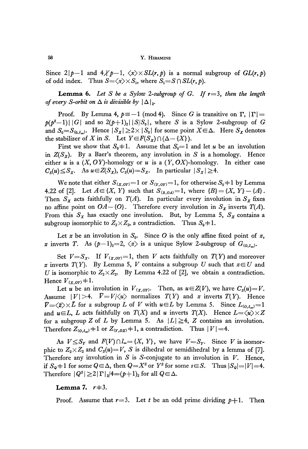Since  $2|p-1$  and  $4\angle p-1$ ,  $\langle x\rangle \times SL(r, p)$  is a normal subgroup of  $GL(r, p)$ of odd index. Thus  $S = \langle x \rangle \times S_1$ , where  $S_1 = S \cap SL(r, p)$ .

**Lemma 6.** *Let S be a Sylow 2-subgroup of G. If r=3, then the length of every S-orbit on*  $\Delta$  *is divisible by*  $|\Delta|_2$ .

Proof. By Lemma 4,  $p \equiv -1 \pmod{4}$ . Since *G* is transitive on  $\Gamma$ ,  $|\Gamma|$  =  $p(p^2-1) | |G|$  and so  $2(p+1)_2 | |S/S_0|$ , where *S* is a Sylow 2-subgroup of *G* and  $S_0 = S_{(0,l_\infty)}$ . Hence  $|S_x| \ge 2 \times |S_0|$  for some point  $X \in \Delta$ . Here  $S_x$  denotes the stabilizer of X in S. Let  $Y \in F(S_x) \cap (\Delta - \{X\})$ .

First we show that  $S_0 \neq 1$ . Assume that  $S_0 = 1$  and let *u* be an involution in *Z(S<sup>X</sup> ).* By a Baer's theorem, any involution in *S* is a homology. Hence either u is a  $(X, OY)$ -homology or u is a  $(Y, OX)$ -homology. In either case  $C_s(u) \leq S_x$ , As  $u \in Z(S_x)$ ,  $C_s(u) = S_x$ . In particular  $|S_x| \geq 4$ .

We note that either  $S_{(x,0Y)} = 1$  or  $S_{(Y,0Y)} = 1$ , for otherwise  $S_0 \neq 1$  by Lemma 4.22 of [2]. Let  $A \in \{X, Y\}$  such that  $S_{(B,0A)} = 1$ , where  $\{B\} = \{X, Y\} - \{A\}.$ Then  $S_X$  acts faithfully on  $T(A)$ . In particular every involution in  $S_X$  fixes no affine point on  $OA - \{O\}$ . Therefore every involution in  $S_x$  inverts  $T(A)$ . From this  $S_x$  has exactly one involution. But, by Lemma 5,  $S_x$  contains a subgroup isomorphic to  $Z_2 \times Z_2$ , a contradiction. Thus  $S_0$   $\neq$  1.

Let  $x$  be an involution in  $S_0$ . Since O is the only affine fixed point of  $x$ , x inverts T. As  $(p-1)_2=2$ ,  $\langle z \rangle$  is a unique Sylow 2-subgroup of  $G_{(0,L_0)}$ .

Set  $V = S_X$ . If  $V_{(X,0Y)} = 1$ , then V acts faithfully on  $T(Y)$  and moreover x inverts  $T(Y)$ . By Lemma 5, *V* contains a subgroup U such that  $x \in U$  and U is isomorphic to  $Z_2 \times Z_2$ . By Lemma 4.22 of [2], we obtain a contradiction. Hence  $V_{(x,oy)}$   $\neq$  1.

Let *u* be an involution in  $V_{(x, 0Y)}$ . Then, as  $u \in Z(V)$ , we have  $C_s(u) = V$ . Assume  $|V|>4$ .  $\bar{V}=V/\langle u \rangle$  normalizes  $T(Y)$  and  $\bar{z}$  inverts  $T(Y)$ . Hence  $\overline{V}=\langle \overline{z}\rangle \times \overline{L}$  for a subgroup L of V with  $u\in L$  by Lemma 5. Since  $L_{(0,I_\infty)}=1$ and  $u \in L$ , L acts faithfully on  $T(X)$  and w inverts  $T(X)$ . Hence  $L = \langle u \rangle \times Z$ for a subgroup Z of L by Lemma 5. As  $|L| \geq 4$ , Z contains an involution. Therefore  $Z_{(0,l_\infty)}$   $\neq$  1 or  $Z_{(Y,0,X)}$   $\neq$  1, a contradiction. Thus  $|V|$   $\rightleftharpoons$  4.

As  $V \leq S_Y$  and  $F(V) \cap l_{\infty} = \{X, Y\}$ , we have  $V = S_Y$ . Since V is isomorphic to  $Z_2 \times Z_2$  and  $C_S(u) = V$ , S is dihedral or semidihedral by a lemma of [7]. Therefore any involution in *S* is 5-conjugate to an involution in *V.* Hence, if  $S_{\mathbf{Q}} = 1$  for some  $Q \in \Delta$ , then  $Q = X^s$  or  $Y^s$  for some  $s \in S$ . Thus  $|S_{\mathbf{Q}}| = |V| = 4$ . Therefore  $|Q^s| \ge 2 |\Gamma|_2/4 = (p+1)_2$  for all  $Q \in \Delta$ .

#### **Lemma 7.**  $r=3$ .

Proof. Assume that  $r=3$ . Let t be an odd prime dividing  $p+1$ . Then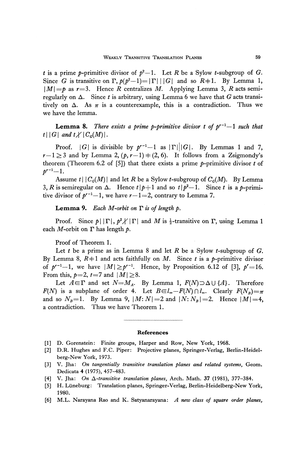*t* is a prime *p*-primitive divisor of  $p^2-1$ . Let *R* be a Sylow *t*-subgroup of *G*. Since G is transitive on  $\Gamma$ ,  $p(p^2-1)=|\Gamma| \, |G|$  and so  $R+1$ . By Lemma 1,  $|M| = p$  as  $r = 3$ . Hence *R* centralizes *M*. Applying Lemma 3, *R* acts semiregularly on Δ. Since *t* is arbitrary, using Lemma 6 we have that *G* acts transitively on  $\Delta$ . As  $\pi$  is a counterexample, this is a contradiction. Thus we we have the lemma.

**Lemma 8.** There exists a prime p-primitive divisor t of  $p^{r-1}-1$  such that  $t\,|\,|G|$  and  $t\nmid C_G(M)|$ .

Proof.  $|G|$  is divisible by  $p^{r-1}-1$  as  $|\Gamma|||G|$ . By Lemmas 1 and 7,  $r-1 \geq 3$  and by Lemma 2,  $(p, r-1) \neq (2, 6)$ . It follows from a Zsigmondy's theorem (Theorem 6.2 of [5]) that there exists a prime  $p$ -primitive divisor  $t$  of  $p^{r-1}-1$ .

Assume  $t \mid |C_G(M)|$  and let R be a Sylow  $t$ -subgroup of  $C_G(M)$ . By Lemma 3, R is semiregular on  $\Delta$ . Hence  $t \mid p+1$  and so  $t \mid p^2-1$ . Since t is a p-primitive divisor of  $p^{r-1}-1$ , we have  $r-1=2$ , contrary to Lemma 7.

**Lemma** *9. Each M-orbit on* Γ *is of length p.*

Proof. Since  $p \mid |\Gamma|$ ,  $p^2 \nless |\Gamma|$  and *M* is  $\frac{1}{2}$ -transitive on Γ, using Lemma 1 each M-orbit on Γ has length *p.*

Proof of Theorem 1.

Let  $t$  be a prime as in Lemma 8 and let  $R$  be a Sylow  $t$ -subgroup of  $G$ . By Lemma 8,  $R \neq 1$  and acts faithfully on *M*. Since *t* is a *p*-primitive divisor of  $p^{r-1}-1$ , we have  $|M| \geq p^{r-1}$ . Hence, by Proposition 6.12 of [3],  $p'=16$ . From this,  $p=2$ ,  $t=7$  and  $|M| \geq 8$ .

Let  $A \in \Gamma$  and set  $N = M_A$ . By Lemma 1,  $F(N) \supset \Delta \cup \{A\}$ . Therefore *F(N)* is a subplane of order 4. Let  $B\in I_{\infty}-F(N)\cap I_{\infty}$ . Clearly  $F(N_B)=\pi$ and so  $N_B=1$ . By Lemma 9,  $|M: N|=2$  and  $|N: N_B|=2$ . Hence  $|M|=4$ , a contradiction. Thus we have Theorem 1.

#### **References**

- [1] D. Gorenstein: Finite groups, Harper and Row, New York, 1968.
- [2] D.R. Hughes and F.C. Piper: Projective planes, Springer-Verlag, Berlin-Heidelberg-New York, 1973.
- [3] V. Jha: *On tangentially transitive translation planes and related systems,* Geom. Dedicata 4 (1975), 457-483.
- [4] V. Jha: *On ^-transitive translation planes,* Arch. Math. 37 (1981), 377-384.
- [5] H. Luneburg: Translation planes, Springer-Verlag, Berlin-Heidelberg-New York, 1980.
- [6] M.L. Narayana Rao and K. Satyanarayana: *A new class of square order planes,*